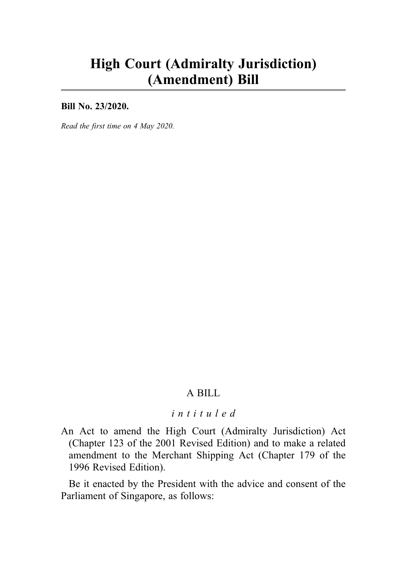# High Court (Admiralty Jurisdiction) (Amendment) Bill

Bill No. 23/2020.

Read the first time on 4 May 2020.

# A BILL

#### intituled

An Act to amend the High Court (Admiralty Jurisdiction) Act (Chapter 123 of the 2001 Revised Edition) and to make a related amendment to the Merchant Shipping Act (Chapter 179 of the 1996 Revised Edition).

Be it enacted by the President with the advice and consent of the Parliament of Singapore, as follows: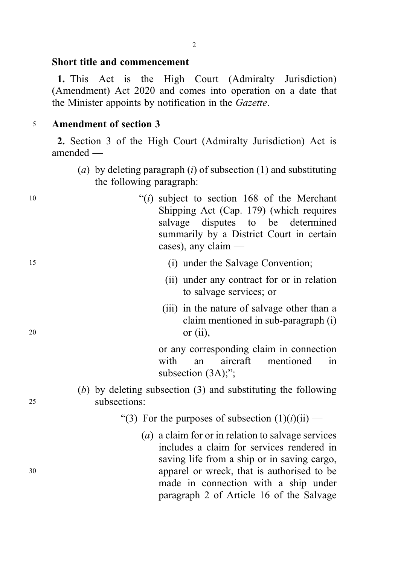## Short title and commencement

1. This Act is the High Court (Admiralty Jurisdiction) (Amendment) Act 2020 and comes into operation on a date that the Minister appoints by notification in the Gazette.

### <sup>5</sup> Amendment of section 3

2. Section 3 of the High Court (Admiralty Jurisdiction) Act is amended —

(a) by deleting paragraph (i) of subsection (1) and substituting the following paragraph:

| 10 | " $(i)$ subject to section 168 of the Merchant<br>Shipping Act (Cap. 179) (which requires<br>salvage disputes to be determined<br>summarily by a District Court in certain<br>cases), any claim $-$ |
|----|-----------------------------------------------------------------------------------------------------------------------------------------------------------------------------------------------------|
| 15 | (i) under the Salvage Convention;                                                                                                                                                                   |
|    | (ii) under any contract for or in relation<br>to salvage services; or                                                                                                                               |
|    | (iii) in the nature of salvage other than a<br>the contract of the contract of the contract of the contract of the contract of the contract of the contract of                                      |

claim mentioned in sub-paragraph (i) <sup>20</sup> or (ii), or any corresponding claim in connection with an aircraft mentioned in subsection  $(3A)$ ;"; (b) by deleting subsection (3) and substituting the following <sup>25</sup> subsections: "(3) For the purposes of subsection  $(1)(i)(ii)$  — (a) a claim for or in relation to salvage services includes a claim for services rendered in saving life from a ship or in saving cargo, <sup>30</sup> apparel or wreck, that is authorised to be made in connection with a ship under paragraph 2 of Article 16 of the Salvage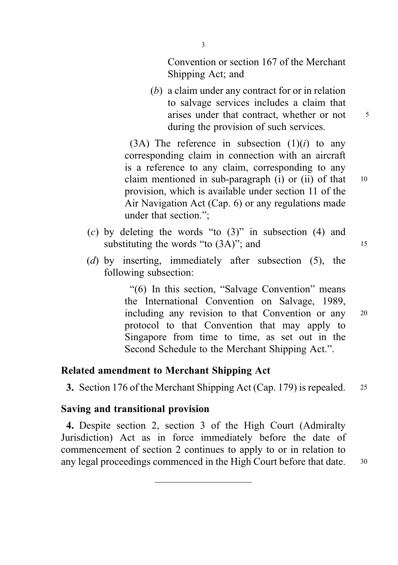Convention or section 167 of the Merchant Shipping Act; and

(b) a claim under any contract for or in relation to salvage services includes a claim that arises under that contract, whether or not  $\frac{5}{5}$ during the provision of such services.

(3A) The reference in subsection  $(1)(i)$  to any corresponding claim in connection with an aircraft is a reference to any claim, corresponding to any claim mentioned in sub-paragraph (i) or (ii) of that 10 provision, which is available under section 11 of the Air Navigation Act (Cap. 6) or any regulations made under that section.";

- $(c)$  by deleting the words "to  $(3)$ " in subsection  $(4)$  and substituting the words "to  $(3A)$ "; and  $15$
- (d) by inserting, immediately after subsection (5), the following subsection:

"(6) In this section, "Salvage Convention" means the International Convention on Salvage, 1989, including any revision to that Convention or any <sup>20</sup> protocol to that Convention that may apply to Singapore from time to time, as set out in the Second Schedule to the Merchant Shipping Act.".

#### Related amendment to Merchant Shipping Act

3. Section 176 of the Merchant Shipping Act (Cap. 179) is repealed. <sup>25</sup>

#### Saving and transitional provision

4. Despite section 2, section 3 of the High Court (Admiralty Jurisdiction) Act as in force immediately before the date of commencement of section 2 continues to apply to or in relation to any legal proceedings commenced in the High Court before that date. <sup>30</sup>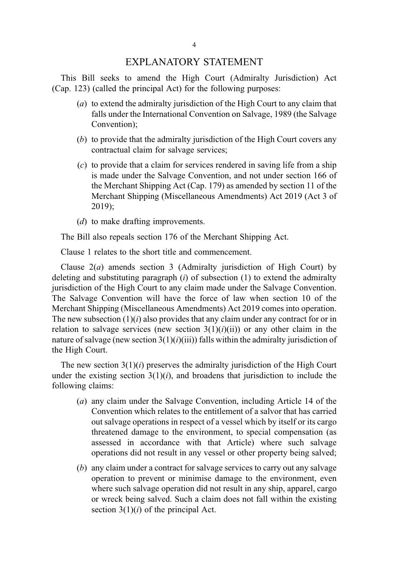#### EXPLANATORY STATEMENT

This Bill seeks to amend the High Court (Admiralty Jurisdiction) Act (Cap. 123) (called the principal Act) for the following purposes:

- (a) to extend the admiralty jurisdiction of the High Court to any claim that falls under the International Convention on Salvage, 1989 (the Salvage Convention);
- (b) to provide that the admiralty jurisdiction of the High Court covers any contractual claim for salvage services;
- (c) to provide that a claim for services rendered in saving life from a ship is made under the Salvage Convention, and not under section 166 of the Merchant Shipping Act (Cap. 179) as amended by section 11 of the Merchant Shipping (Miscellaneous Amendments) Act 2019 (Act 3 of 2019);
- (*d*) to make drafting improvements.

The Bill also repeals section 176 of the Merchant Shipping Act.

Clause 1 relates to the short title and commencement.

Clause  $2(a)$  amends section 3 (Admiralty jurisdiction of High Court) by deleting and substituting paragraph  $(i)$  of subsection  $(1)$  to extend the admiralty jurisdiction of the High Court to any claim made under the Salvage Convention. The Salvage Convention will have the force of law when section 10 of the Merchant Shipping (Miscellaneous Amendments) Act 2019 comes into operation. The new subsection  $(1)(i)$  also provides that any claim under any contract for or in relation to salvage services (new section  $3(1)(i)(ii)$ ) or any other claim in the nature of salvage (new section 3(1)(*i*)(iii)) falls within the admiralty jurisdiction of the High Court.

The new section  $3(1)(i)$  preserves the admiralty jurisdiction of the High Court under the existing section  $3(1)(i)$ , and broadens that jurisdiction to include the following claims:

- (a) any claim under the Salvage Convention, including Article 14 of the Convention which relates to the entitlement of a salvor that has carried out salvage operations in respect of a vessel which by itself or its cargo threatened damage to the environment, to special compensation (as assessed in accordance with that Article) where such salvage operations did not result in any vessel or other property being salved;
- (b) any claim under a contract for salvage services to carry out any salvage operation to prevent or minimise damage to the environment, even where such salvage operation did not result in any ship, apparel, cargo or wreck being salved. Such a claim does not fall within the existing section  $3(1)(i)$  of the principal Act.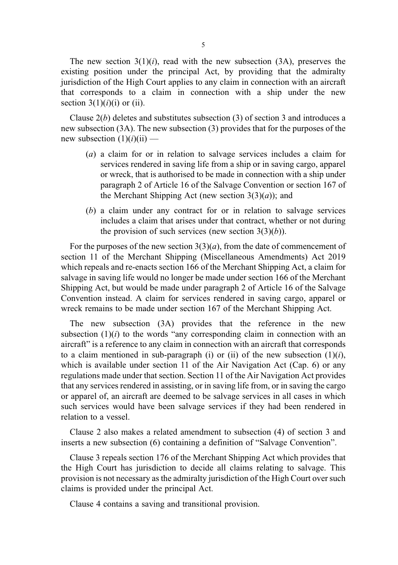The new section  $3(1)(i)$ , read with the new subsection  $(3A)$ , preserves the existing position under the principal Act, by providing that the admiralty jurisdiction of the High Court applies to any claim in connection with an aircraft that corresponds to a claim in connection with a ship under the new section  $3(1)(i)(i)$  or (ii).

Clause  $2(b)$  deletes and substitutes subsection (3) of section 3 and introduces a new subsection (3A). The new subsection (3) provides that for the purposes of the new subsection  $(1)(i)(ii)$  —

- (a) a claim for or in relation to salvage services includes a claim for services rendered in saving life from a ship or in saving cargo, apparel or wreck, that is authorised to be made in connection with a ship under paragraph 2 of Article 16 of the Salvage Convention or section 167 of the Merchant Shipping Act (new section  $3(3)(a)$ ); and
- (b) a claim under any contract for or in relation to salvage services includes a claim that arises under that contract, whether or not during the provision of such services (new section  $3(3)(b)$ ).

For the purposes of the new section  $3(3)(a)$ , from the date of commencement of section 11 of the Merchant Shipping (Miscellaneous Amendments) Act 2019 which repeals and re-enacts section 166 of the Merchant Shipping Act, a claim for salvage in saving life would no longer be made under section 166 of the Merchant Shipping Act, but would be made under paragraph 2 of Article 16 of the Salvage Convention instead. A claim for services rendered in saving cargo, apparel or wreck remains to be made under section 167 of the Merchant Shipping Act.

The new subsection (3A) provides that the reference in the new subsection  $(1)(i)$  to the words "any corresponding claim in connection with an aircraft" is a reference to any claim in connection with an aircraft that corresponds to a claim mentioned in sub-paragraph (i) or (ii) of the new subsection  $(1)(i)$ , which is available under section 11 of the Air Navigation Act (Cap. 6) or any regulations made under that section. Section 11 of the Air Navigation Act provides that any services rendered in assisting, or in saving life from, or in saving the cargo or apparel of, an aircraft are deemed to be salvage services in all cases in which such services would have been salvage services if they had been rendered in relation to a vessel.

Clause 2 also makes a related amendment to subsection (4) of section 3 and inserts a new subsection (6) containing a definition of "Salvage Convention".

Clause 3 repeals section 176 of the Merchant Shipping Act which provides that the High Court has jurisdiction to decide all claims relating to salvage. This provision is not necessary as the admiralty jurisdiction of the High Court over such claims is provided under the principal Act.

Clause 4 contains a saving and transitional provision.